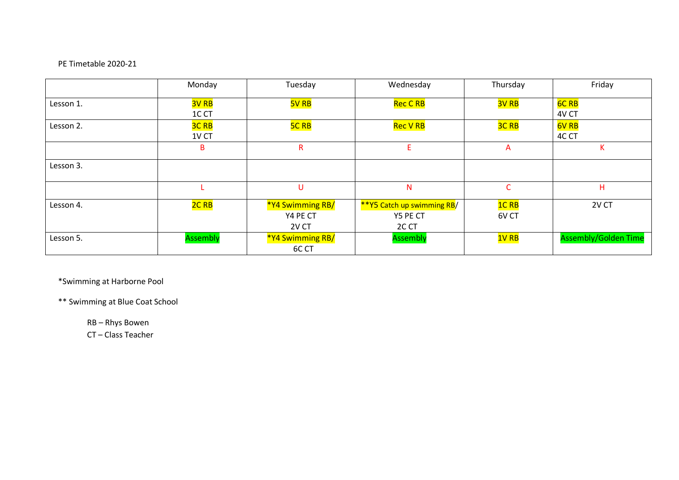## PE Timetable 2020-21

|           | Monday           | Tuesday          | Wednesday                  | Thursday         | Friday                      |
|-----------|------------------|------------------|----------------------------|------------------|-----------------------------|
| Lesson 1. | <b>3V RB</b>     | <b>5V RB</b>     | Rec C RB                   | 3V <sub>RB</sub> | <b>6C RB</b>                |
|           | 1CCT             |                  |                            |                  | 4V CT                       |
| Lesson 2. | <b>3C RB</b>     | <b>5C RB</b>     | <b>Rec V RB</b>            | <b>3C RB</b>     | <b>6V RB</b>                |
|           | 1V <sub>CT</sub> |                  |                            |                  | 4C CT                       |
|           | B                | R                | E.                         | A                | Κ                           |
| Lesson 3. |                  |                  |                            |                  |                             |
|           |                  | U                | N                          | C                | Η                           |
| Lesson 4. | 2C <sub>RB</sub> | *Y4 Swimming RB/ | **Y5 Catch up swimming RB/ | <b>1CRB</b>      | 2V CT                       |
|           |                  | Y4 PE CT         | Y5 PE CT                   | 6V CT            |                             |
|           |                  | 2V CT            | 2C CT                      |                  |                             |
| Lesson 5. | <b>Assembly</b>  | *Y4 Swimming RB/ | <b>Assembly</b>            | 1V RB            | <b>Assembly/Golden Time</b> |
|           |                  | 6C CT            |                            |                  |                             |

\*Swimming at Harborne Pool

\*\* Swimming at Blue Coat School

RB – Rhys Bowen

CT – Class Teacher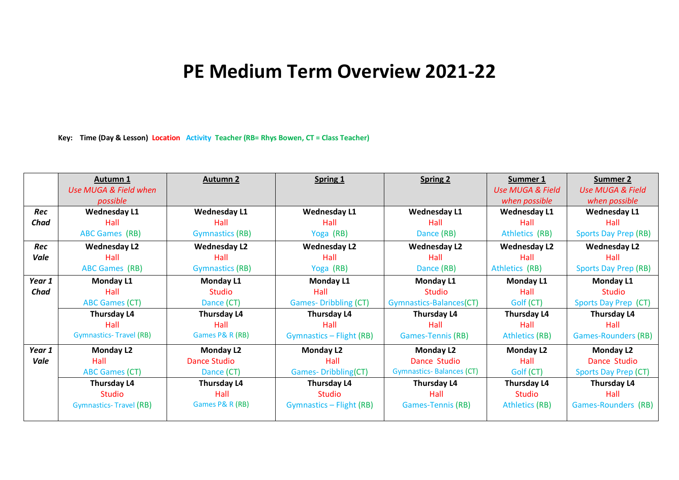## **PE Medium Term Overview 2021-22**

**Key: Time (Day & Lesson) Location Activity Teacher (RB= Rhys Bowen, CT = Class Teacher)**

|        | <b>Autumn 1</b>               | <b>Autumn 2</b>        | Spring 1                    | <b>Spring 2</b>                 | <b>Summer 1</b>             | Summer 2                    |
|--------|-------------------------------|------------------------|-----------------------------|---------------------------------|-----------------------------|-----------------------------|
|        | Use MUGA & Field when         |                        |                             |                                 | <b>Use MUGA &amp; Field</b> | <b>Use MUGA &amp; Field</b> |
|        | possible                      |                        |                             |                                 | when possible               | when possible               |
| Rec    | <b>Wednesday L1</b>           | <b>Wednesday L1</b>    | <b>Wednesday L1</b>         | <b>Wednesday L1</b>             | <b>Wednesday L1</b>         | <b>Wednesday L1</b>         |
| Chad   | Hall                          | Hall                   | Hall                        | Hall                            | Hall                        | Hall                        |
|        | <b>ABC Games (RB)</b>         | <b>Gymnastics (RB)</b> | Yoga (RB)                   | Dance (RB)                      | Athletics (RB)              | <b>Sports Day Prep (RB)</b> |
| Rec    | <b>Wednesday L2</b>           | <b>Wednesday L2</b>    | <b>Wednesday L2</b>         | <b>Wednesday L2</b>             | <b>Wednesday L2</b>         | <b>Wednesday L2</b>         |
| Vale   | Hall                          | Hall                   | Hall                        | Hall                            | Hall                        | Hall                        |
|        | <b>ABC Games (RB)</b>         | <b>Gymnastics (RB)</b> | Yoga (RB)                   | Dance (RB)                      | Athletics (RB)              | <b>Sports Day Prep (RB)</b> |
| Year 1 | Monday L1                     | <b>Monday L1</b>       | Monday L1                   | Monday L1                       | Monday L1                   | <b>Monday L1</b>            |
| Chad   | Hall                          | <b>Studio</b>          | Hall                        | <b>Studio</b>                   | Hall                        | <b>Studio</b>               |
|        | <b>ABC Games (CT)</b>         | Dance (CT)             | <b>Games-Dribbling (CT)</b> | Gymnastics-Balances(CT)         | Golf (CT)                   | Sports Day Prep (CT)        |
|        | Thursday L4                   | Thursday L4            | Thursday L4                 | Thursday L4                     | Thursday L4                 | Thursday L4                 |
|        | Hall                          | Hall                   | Hall                        | Hall                            | Hall                        | Hall                        |
|        | <b>Gymnastics-Travel (RB)</b> | Games P& R (RB)        | Gymnastics - Flight (RB)    | <b>Games-Tennis (RB)</b>        | <b>Athletics (RB)</b>       | <b>Games-Rounders (RB)</b>  |
| Year 1 | <b>Monday L2</b>              | <b>Monday L2</b>       | <b>Monday L2</b>            | <b>Monday L2</b>                | <b>Monday L2</b>            | <b>Monday L2</b>            |
| Vale   | Hall                          | <b>Dance Studio</b>    | Hall                        | Dance Studio                    | Hall                        | Dance Studio                |
|        | <b>ABC Games (CT)</b>         | Dance (CT)             | <b>Games-Dribbling(CT)</b>  | <b>Gymnastics-Balances (CT)</b> | Golf (CT)                   | Sports Day Prep (CT)        |
|        | Thursday L4                   | Thursday L4            | Thursday L4                 | Thursday L4                     | Thursday L4                 | Thursday L4                 |
|        | <b>Studio</b>                 | Hall                   | Studio                      | Hall                            | <b>Studio</b>               | Hall                        |
|        | <b>Gymnastics-Travel (RB)</b> | Games P& R (RB)        | Gymnastics - Flight (RB)    | <b>Games-Tennis (RB)</b>        | <b>Athletics (RB)</b>       | Games-Rounders (RB)         |
|        |                               |                        |                             |                                 |                             |                             |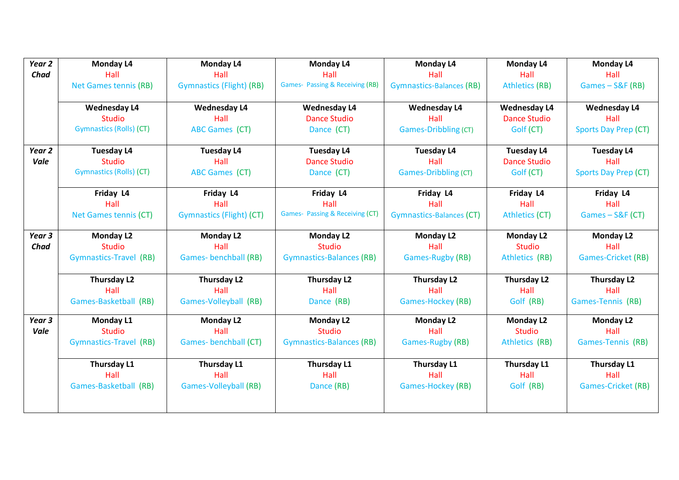| Year <sub>2</sub> | <b>Monday L4</b>               | <b>Monday L4</b>                | <b>Monday L4</b>                           | Monday L4                       | <b>Monday L4</b>      | <b>Monday L4</b>            |
|-------------------|--------------------------------|---------------------------------|--------------------------------------------|---------------------------------|-----------------------|-----------------------------|
| Chad              | Hall                           | Hall                            | Hall                                       | Hall                            | Hall                  | Hall                        |
|                   | <b>Net Games tennis (RB)</b>   | <b>Gymnastics (Flight) (RB)</b> | <b>Games- Passing &amp; Receiving (RB)</b> | <b>Gymnastics-Balances (RB)</b> | <b>Athletics (RB)</b> | Games-S&F (RB)              |
|                   |                                |                                 |                                            |                                 |                       |                             |
|                   | <b>Wednesday L4</b>            | <b>Wednesday L4</b>             | <b>Wednesday L4</b>                        | <b>Wednesday L4</b>             | <b>Wednesday L4</b>   | <b>Wednesday L4</b>         |
|                   | <b>Studio</b>                  | Hall                            | <b>Dance Studio</b>                        | Hall                            | <b>Dance Studio</b>   | Hall                        |
|                   | <b>Gymnastics (Rolls) (CT)</b> | <b>ABC Games (CT)</b>           | Dance (CT)                                 | Games-Dribbling (CT)            | Golf (CT)             | <b>Sports Day Prep (CT)</b> |
| Year <sub>2</sub> | <b>Tuesday L4</b>              | <b>Tuesday L4</b>               | <b>Tuesday L4</b>                          | <b>Tuesday L4</b>               | <b>Tuesday L4</b>     | <b>Tuesday L4</b>           |
| Vale              | <b>Studio</b>                  | Hall                            | <b>Dance Studio</b>                        | Hall                            | <b>Dance Studio</b>   | Hall                        |
|                   | <b>Gymnastics (Rolls) (CT)</b> | <b>ABC Games (CT)</b>           | Dance (CT)                                 | <b>Games-Dribbling (CT)</b>     | Golf (CT)             | <b>Sports Day Prep (CT)</b> |
|                   | Friday L4                      | Friday L4                       | Friday L4                                  | Friday L4                       | Friday L4             | Friday L4                   |
|                   | Hall                           | Hall                            | Hall                                       | Hall                            | Hall                  | Hall                        |
|                   | <b>Net Games tennis (CT)</b>   | <b>Gymnastics (Flight) (CT)</b> | <b>Games- Passing &amp; Receiving (CT)</b> | <b>Gymnastics-Balances (CT)</b> | <b>Athletics (CT)</b> | Games - S&F (CT)            |
| Year 3            | <b>Monday L2</b>               | <b>Monday L2</b>                | <b>Monday L2</b>                           | <b>Monday L2</b>                | <b>Monday L2</b>      | <b>Monday L2</b>            |
| Chad              | <b>Studio</b>                  | Hall                            | <b>Studio</b>                              | Hall                            | <b>Studio</b>         | Hall                        |
|                   | Gymnastics-Travel (RB)         | <b>Games-benchball (RB)</b>     | <b>Gymnastics-Balances (RB)</b>            | <b>Games-Rugby (RB)</b>         | Athletics (RB)        | <b>Games-Cricket (RB)</b>   |
|                   | Thursday L2                    | Thursday L2                     | <b>Thursday L2</b>                         | Thursday L2                     | Thursday L2           | <b>Thursday L2</b>          |
|                   | Hall                           | Hall                            | Hall                                       | Hall                            | Hall                  | Hall                        |
|                   | Games-Basketball (RB)          | Games-Volleyball (RB)           | Dance (RB)                                 | Games-Hockey (RB)               | Golf (RB)             | Games-Tennis (RB)           |
| Year <sub>3</sub> | <b>Monday L1</b>               | <b>Monday L2</b>                | <b>Monday L2</b>                           | <b>Monday L2</b>                | <b>Monday L2</b>      | <b>Monday L2</b>            |
| Vale              | <b>Studio</b>                  | Hall                            | <b>Studio</b>                              | Hall                            | <b>Studio</b>         | Hall                        |
|                   | Gymnastics-Travel (RB)         | Games-benchball (CT)            | <b>Gymnastics-Balances (RB)</b>            | Games-Rugby (RB)                | Athletics (RB)        | Games-Tennis (RB)           |
|                   | Thursday L1                    | Thursday L1                     | Thursday L1                                | Thursday L1                     | Thursday L1           | Thursday L1                 |
|                   | Hall                           | Hall                            | Hall                                       | Hall                            | Hall                  | Hall                        |
|                   | Games-Basketball (RB)          | <b>Games-Volleyball (RB)</b>    | Dance (RB)                                 | <b>Games-Hockey (RB)</b>        | Golf (RB)             | <b>Games-Cricket (RB)</b>   |
|                   |                                |                                 |                                            |                                 |                       |                             |
|                   |                                |                                 |                                            |                                 |                       |                             |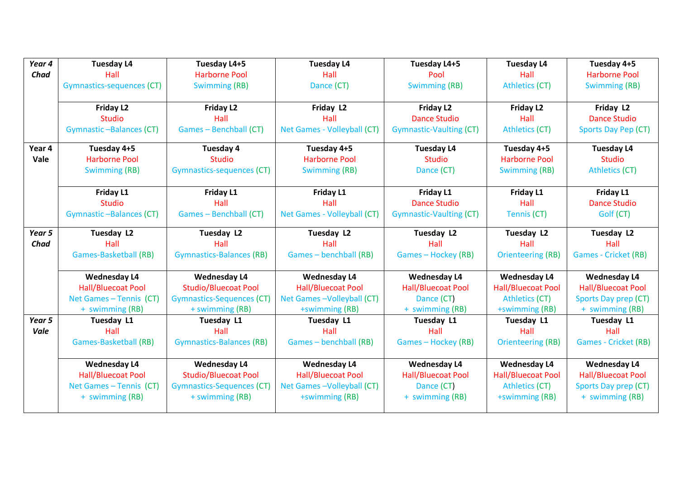| Year 4 | <b>Tuesday L4</b>                | Tuesday L4+5                     | <b>Tuesday L4</b>           | Tuesday L4+5                   | <b>Tuesday L4</b>         | Tuesday 4+5                 |
|--------|----------------------------------|----------------------------------|-----------------------------|--------------------------------|---------------------------|-----------------------------|
| Chad   | Hall                             | <b>Harborne Pool</b>             | Hall                        | Pool                           | Hall                      | <b>Harborne Pool</b>        |
|        | <b>Gymnastics-sequences (CT)</b> | <b>Swimming (RB)</b>             | Dance (CT)                  | Swimming (RB)                  | <b>Athletics (CT)</b>     | <b>Swimming (RB)</b>        |
|        |                                  |                                  |                             |                                |                           |                             |
|        | Friday L2                        | Friday L <sub>2</sub>            | Friday L2                   | <b>Friday L2</b>               | Friday L2                 | Friday L2                   |
|        | <b>Studio</b>                    | Hall                             | Hall                        | <b>Dance Studio</b>            | Hall                      | <b>Dance Studio</b>         |
|        | <b>Gymnastic-Balances (CT)</b>   | Games - Benchball (CT)           | Net Games - Volleyball (CT) | <b>Gymnastic-Vaulting (CT)</b> | <b>Athletics (CT)</b>     | Sports Day Pep (CT)         |
| Year 4 | Tuesday 4+5                      | Tuesday 4                        | Tuesday 4+5                 | <b>Tuesday L4</b>              | Tuesday 4+5               | <b>Tuesday L4</b>           |
| Vale   | <b>Harborne Pool</b>             | <b>Studio</b>                    | <b>Harborne Pool</b>        | <b>Studio</b>                  | <b>Harborne Pool</b>      | <b>Studio</b>               |
|        | <b>Swimming (RB)</b>             | <b>Gymnastics-sequences (CT)</b> | <b>Swimming (RB)</b>        | Dance (CT)                     | <b>Swimming (RB)</b>      | <b>Athletics (CT)</b>       |
|        |                                  |                                  |                             |                                |                           |                             |
|        | Friday L1                        | Friday L1                        | Friday L1                   | Friday L1                      | Friday L1                 | Friday L1                   |
|        | <b>Studio</b>                    | Hall                             | Hall                        | <b>Dance Studio</b>            | Hall                      | <b>Dance Studio</b>         |
|        | <b>Gymnastic-Balances (CT)</b>   | Games - Benchball (CT)           | Net Games - Volleyball (CT) | <b>Gymnastic-Vaulting (CT)</b> | Tennis (CT)               | Golf (CT)                   |
| Year 5 | Tuesday L2                       |                                  |                             | Tuesday L2                     |                           | Tuesday L2                  |
| Chad   | Hall                             | Tuesday L2<br>Hall               | Tuesday L2<br>Hall          | Hall                           | <b>Tuesday L2</b><br>Hall | Hall                        |
|        | <b>Games-Basketball (RB)</b>     | <b>Gymnastics-Balances (RB)</b>  | Games - benchball (RB)      | Games - Hockey (RB)            | <b>Orienteering (RB)</b>  | <b>Games - Cricket (RB)</b> |
|        |                                  |                                  |                             |                                |                           |                             |
|        | <b>Wednesday L4</b>              | <b>Wednesday L4</b>              | <b>Wednesday L4</b>         | <b>Wednesday L4</b>            | <b>Wednesday L4</b>       | <b>Wednesday L4</b>         |
|        | <b>Hall/Bluecoat Pool</b>        | <b>Studio/Bluecoat Pool</b>      | <b>Hall/Bluecoat Pool</b>   | <b>Hall/Bluecoat Pool</b>      | <b>Hall/Bluecoat Pool</b> | <b>Hall/Bluecoat Pool</b>   |
|        | Net Games - Tennis (CT)          | <b>Gymnastics-Sequences (CT)</b> | Net Games-Volleyball (CT)   | Dance (CT)                     | <b>Athletics (CT)</b>     | Sports Day prep (CT)        |
|        | + swimming (RB)                  | + swimming (RB)                  | +swimming (RB)              | + swimming (RB)                | +swimming (RB)            | + swimming (RB)             |
| Year 5 | <b>Tuesday L1</b>                | Tuesday L1                       | Tuesday L1                  | Tuesday L1                     | Tuesday L1                | Tuesday L1                  |
| Vale   | Hall                             | Hall                             | Hall                        | Hall                           | Hall                      | Hall                        |
|        | <b>Games-Basketball (RB)</b>     | <b>Gymnastics-Balances (RB)</b>  | Games - benchball (RB)      | Games - Hockey (RB)            | <b>Orienteering (RB)</b>  | <b>Games - Cricket (RB)</b> |
|        |                                  |                                  |                             |                                |                           |                             |
|        | <b>Wednesday L4</b>              | <b>Wednesday L4</b>              | <b>Wednesday L4</b>         | <b>Wednesday L4</b>            | <b>Wednesday L4</b>       | <b>Wednesday L4</b>         |
|        | <b>Hall/Bluecoat Pool</b>        | <b>Studio/Bluecoat Pool</b>      | <b>Hall/Bluecoat Pool</b>   | <b>Hall/Bluecoat Pool</b>      | <b>Hall/Bluecoat Pool</b> | <b>Hall/Bluecoat Pool</b>   |
|        | Net Games - Tennis (CT)          | <b>Gymnastics-Sequences (CT)</b> | Net Games-Volleyball (CT)   | Dance (CT)                     | <b>Athletics (CT)</b>     | Sports Day prep (CT)        |
|        | + swimming (RB)                  | + swimming (RB)                  | +swimming (RB)              | + swimming (RB)                | +swimming (RB)            | + swimming (RB)             |
|        |                                  |                                  |                             |                                |                           |                             |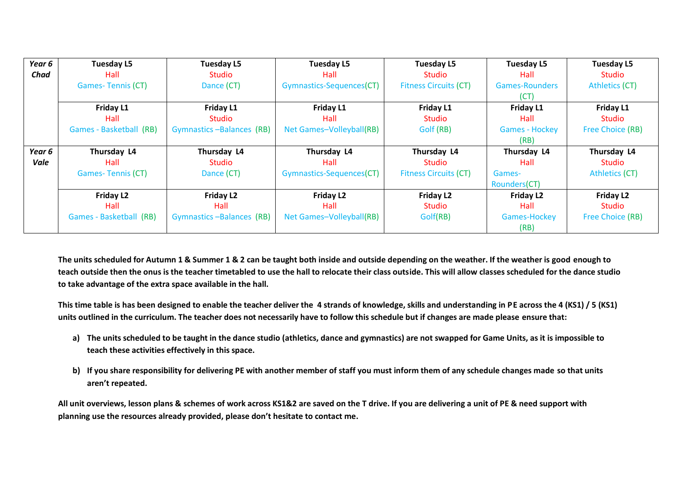| Year 6 | <b>Tuesday L5</b>        | <b>Tuesday L5</b>        | <b>Tuesday L5</b>        | <b>Tuesday L5</b>            | Tuesday L5            | <b>Tuesday L5</b>       |
|--------|--------------------------|--------------------------|--------------------------|------------------------------|-----------------------|-------------------------|
| Chad   | Hall                     | Studio                   | Hall                     | <b>Studio</b>                | Hall                  | <b>Studio</b>           |
|        | <b>Games-Tennis (CT)</b> | Dance (CT)               | Gymnastics-Sequences(CT) | <b>Fitness Circuits (CT)</b> | <b>Games-Rounders</b> | Athletics (CT)          |
|        |                          |                          |                          |                              | (CT)                  |                         |
|        | Friday L1                | Friday L1                | Friday L1                | <b>Friday L1</b>             | Friday L1             | Friday L1               |
|        | Hall                     | Studio                   | Hall                     | Studio                       | Hall                  | <b>Studio</b>           |
|        | Games - Basketball (RB)  | Gymnastics-Balances (RB) | Net Games-Volleyball(RB) | Golf (RB)                    | <b>Games - Hockey</b> | <b>Free Choice (RB)</b> |
|        |                          |                          |                          |                              | (RB)                  |                         |
| Year 6 | Thursday L4              | Thursday L4              | Thursday L4              | Thursday L4                  | Thursday L4           | Thursday L4             |
| Vale   | Hall                     | Studio                   | Hall                     | <b>Studio</b>                | Hall                  | <b>Studio</b>           |
|        | <b>Games-Tennis (CT)</b> | Dance (CT)               | Gymnastics-Sequences(CT) | <b>Fitness Circuits (CT)</b> | Games-                | Athletics (CT)          |
|        |                          |                          |                          |                              | Rounders(CT)          |                         |
|        | Friday L2                | Friday L <sub>2</sub>    | <b>Friday L2</b>         | <b>Friday L2</b>             | Friday L2             | Friday L <sub>2</sub>   |
|        | Hall                     | Hall                     | Hall                     | <b>Studio</b>                | Hall                  | Studio                  |
|        | Games - Basketball (RB)  | Gymnastics-Balances (RB) | Net Games-Volleyball(RB) | Golf(RB)                     | Games-Hockey          | Free Choice (RB)        |
|        |                          |                          |                          |                              |                       |                         |

**The units scheduled for Autumn 1 & Summer 1 & 2 can be taught both inside and outside depending on the weather. If the weather is good enough to teach outside then the onus is the teacher timetabled to use the hall to relocate their class outside. This will allow classes scheduled for the dance studio to take advantage of the extra space available in the hall.** 

**This time table is has been designed to enable the teacher deliver the 4 strands of knowledge, skills and understanding in PE across the 4 (KS1) / 5 (KS1) units outlined in the curriculum. The teacher does not necessarily have to follow this schedule but if changes are made please ensure that:**

- **a) The units scheduled to be taught in the dance studio (athletics, dance and gymnastics) are not swapped for Game Units, as it is impossible to teach these activities effectively in this space.**
- **b) If you share responsibility for delivering PE with another member of staff you must inform them of any schedule changes made so that units aren't repeated.**

**All unit overviews, lesson plans & schemes of work across KS1&2 are saved on the T drive. If you are delivering a unit of PE & need support with planning use the resources already provided, please don't hesitate to contact me.**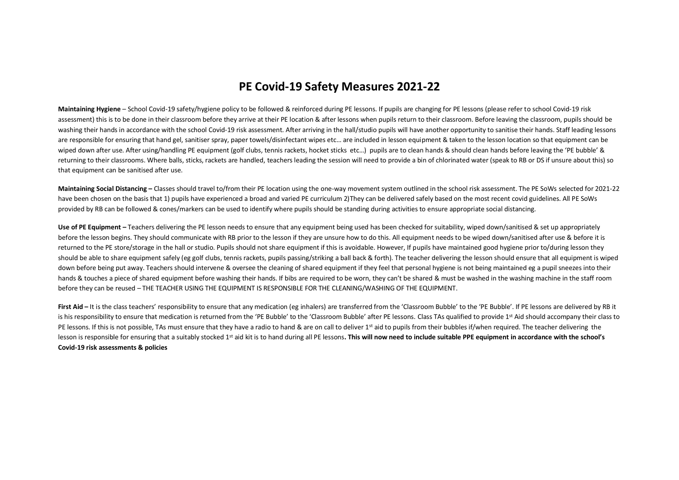## **PE Covid-19 Safety Measures 2021-22**

**Maintaining Hygiene** – School Covid-19 safety/hygiene policy to be followed & reinforced during PE lessons. If pupils are changing for PE lessons (please refer to school Covid-19 risk assessment) this is to be done in their classroom before they arrive at their PE location & after lessons when pupils return to their classroom. Before leaving the classroom, pupils should be washing their hands in accordance with the school Covid-19 risk assessment. After arriving in the hall/studio pupils will have another opportunity to sanitise their hands. Staff leading lessons are responsible for ensuring that hand gel, sanitiser spray, paper towels/disinfectant wipes etc... are included in lesson equipment & taken to the lesson location so that equipment can be wiped down after use. After using/handling PE equipment (golf clubs, tennis rackets, hocket sticks etc...) pupils are to clean hands & should clean hands before leaving the 'PE bubble' & returning to their classrooms. Where balls, sticks, rackets are handled, teachers leading the session will need to provide a bin of chlorinated water (speak to RB or DS if unsure about this) so that equipment can be sanitised after use.

Maintaining Social Distancing – Classes should travel to/from their PE location using the one-way movement system outlined in the school risk assessment. The PE SoWs selected for 2021-22 have been chosen on the basis that 1) pupils have experienced a broad and varied PE curriculum 2)They can be delivered safely based on the most recent covid guidelines. All PE SoWs provided by RB can be followed & cones/markers can be used to identify where pupils should be standing during activities to ensure appropriate social distancing.

Use of PE Equipment – Teachers delivering the PE lesson needs to ensure that any equipment being used has been checked for suitability, wiped down/sanitised & set up appropriately before the lesson begins. They should communicate with RB prior to the lesson if they are unsure how to do this. All equipment needs to be wiped down/sanitised after use & before it is returned to the PE store/storage in the hall or studio. Pupils should not share equipment if this is avoidable. However, If pupils have maintained good hygiene prior to/during lesson they should be able to share equipment safely (eg golf clubs, tennis rackets, pupils passing/striking a ball back & forth). The teacher delivering the lesson should ensure that all equipment is wiped down before being put away. Teachers should intervene & oversee the cleaning of shared equipment if they feel that personal hygiene is not being maintained eg a pupil sneezes into their hands & touches a piece of shared equipment before washing their hands. If bibs are required to be worn, they can't be shared & must be washed in the washing machine in the staff room before they can be reused – THE TEACHER USING THE EQUIPMENT IS RESPONSIBLE FOR THE CLEANING/WASHING OF THE EQUIPMENT.

First Aid – It is the class teachers' responsibility to ensure that any medication (eg inhalers) are transferred from the 'Classroom Bubble' to the 'PE Bubble'. If PE lessons are delivered by RB it is his responsibility to ensure that medication is returned from the 'PE Bubble' to the 'Classroom Bubble' after PE lessons. Class TAs qualified to provide 1<sup>st</sup> Aid should accompany their class to PE lessons. If this is not possible, TAs must ensure that they have a radio to hand & are on call to deliver 1st aid to pupils from their bubbles if/when required. The teacher delivering the lesson is responsible for ensuring that a suitably stocked 1<sup>st</sup> aid kit is to hand during all PE lessons. This will now need to include suitable PPE equipment in accordance with the school's **Covid-19 risk assessments & policies**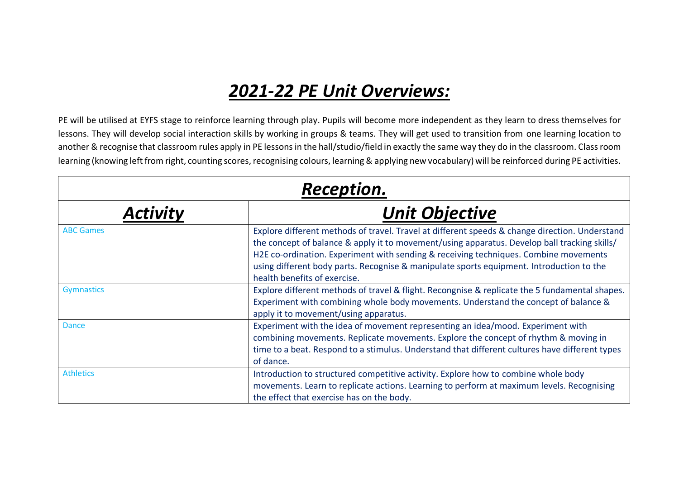## *2021-22 PE Unit Overviews:*

PE will be utilised at EYFS stage to reinforce learning through play. Pupils will become more independent as they learn to dress themselves for lessons. They will develop social interaction skills by working in groups & teams. They will get used to transition from one learning location to another & recognise that classroom rules apply in PE lessons in the hall/studio/field in exactly the same way they do in the classroom. Class room learning (knowing left from right, counting scores, recognising colours, learning & applying new vocabulary) will be reinforced during PE activities.

| <b>Reception.</b> |                                                                                                                                                                                                                                                                                                                                                                                                                    |  |  |
|-------------------|--------------------------------------------------------------------------------------------------------------------------------------------------------------------------------------------------------------------------------------------------------------------------------------------------------------------------------------------------------------------------------------------------------------------|--|--|
| Activity          | <b>Unit Objective</b>                                                                                                                                                                                                                                                                                                                                                                                              |  |  |
| <b>ABC Games</b>  | Explore different methods of travel. Travel at different speeds & change direction. Understand<br>the concept of balance & apply it to movement/using apparatus. Develop ball tracking skills/<br>H2E co-ordination. Experiment with sending & receiving techniques. Combine movements<br>using different body parts. Recognise & manipulate sports equipment. Introduction to the<br>health benefits of exercise. |  |  |
| <b>Gymnastics</b> | Explore different methods of travel & flight. Recongnise & replicate the 5 fundamental shapes.<br>Experiment with combining whole body movements. Understand the concept of balance &<br>apply it to movement/using apparatus.                                                                                                                                                                                     |  |  |
| <b>Dance</b>      | Experiment with the idea of movement representing an idea/mood. Experiment with<br>combining movements. Replicate movements. Explore the concept of rhythm & moving in<br>time to a beat. Respond to a stimulus. Understand that different cultures have different types<br>of dance.                                                                                                                              |  |  |
| <b>Athletics</b>  | Introduction to structured competitive activity. Explore how to combine whole body<br>movements. Learn to replicate actions. Learning to perform at maximum levels. Recognising<br>the effect that exercise has on the body.                                                                                                                                                                                       |  |  |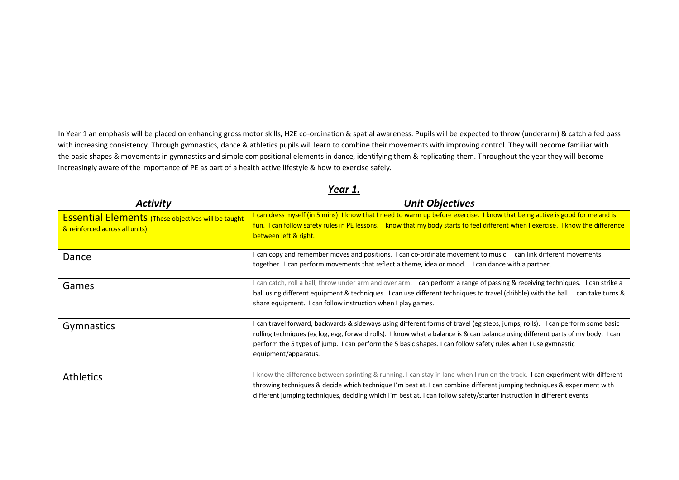In Year 1 an emphasis will be placed on enhancing gross motor skills, H2E co-ordination & spatial awareness. Pupils will be expected to throw (underarm) & catch a fed pass with increasing consistency. Through gymnastics, dance & athletics pupils will learn to combine their movements with improving control. They will become familiar with the basic shapes & movements in gymnastics and simple compositional elements in dance, identifying them & replicating them. Throughout the year they will become increasingly aware of the importance of PE as part of a health active lifestyle & how to exercise safely.

| Year 1.                                                                                      |                                                                                                                                                                                                                                                                                                                                                                                                           |  |
|----------------------------------------------------------------------------------------------|-----------------------------------------------------------------------------------------------------------------------------------------------------------------------------------------------------------------------------------------------------------------------------------------------------------------------------------------------------------------------------------------------------------|--|
| Activity                                                                                     | <b>Unit Objectives</b>                                                                                                                                                                                                                                                                                                                                                                                    |  |
| <b>Essential Elements</b> (These objectives will be taught<br>& reinforced across all units) | I can dress myself (in 5 mins). I know that I need to warm up before exercise. I know that being active is good for me and is<br>fun. I can follow safety rules in PE lessons. I know that my body starts to feel different when I exercise. I know the difference<br>between left & right.                                                                                                               |  |
| Dance                                                                                        | I can copy and remember moves and positions. I can co-ordinate movement to music. I can link different movements<br>together. I can perform movements that reflect a theme, idea or mood. I can dance with a partner.                                                                                                                                                                                     |  |
| Games                                                                                        | I can catch, roll a ball, throw under arm and over arm. I can perform a range of passing & receiving techniques. I can strike a<br>ball using different equipment & techniques. I can use different techniques to travel (dribble) with the ball. I can take turns &<br>share equipment. I can follow instruction when I play games.                                                                      |  |
| <b>Gymnastics</b>                                                                            | I can travel forward, backwards & sideways using different forms of travel (eg steps, jumps, rolls). I can perform some basic<br>rolling techniques (eg log, egg, forward rolls). I know what a balance is & can balance using different parts of my body. I can<br>perform the 5 types of jump. I can perform the 5 basic shapes. I can follow safety rules when I use gymnastic<br>equipment/apparatus. |  |
| <b>Athletics</b>                                                                             | I know the difference between sprinting & running. I can stay in lane when I run on the track. I can experiment with different<br>throwing techniques & decide which technique I'm best at. I can combine different jumping techniques & experiment with<br>different jumping techniques, deciding which I'm best at. I can follow safety/starter instruction in different events                         |  |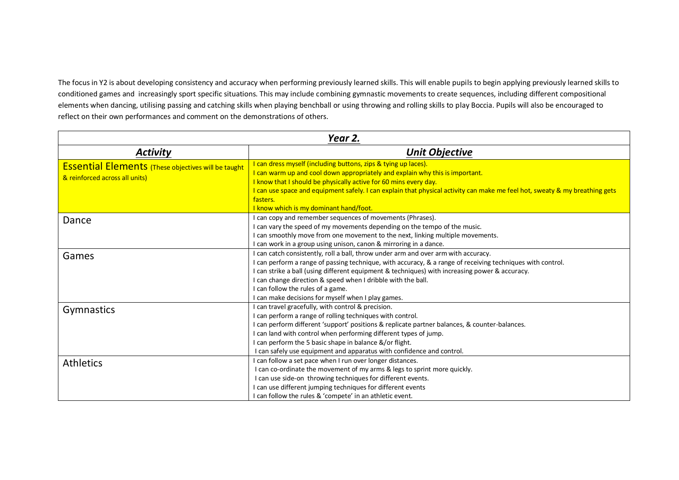The focus in Y2 is about developing consistency and accuracy when performing previously learned skills. This will enable pupils to begin applying previously learned skills to conditioned games and increasingly sport specific situations. This may include combining gymnastic movements to create sequences, including different compositional elements when dancing, utilising passing and catching skills when playing benchball or using throwing and rolling skills to play Boccia. Pupils will also be encouraged to reflect on their own performances and comment on the demonstrations of others.

| Year 2.                                                                                      |                                                                                                                                                                                                                                                                                                                                                                                                                                                     |  |  |
|----------------------------------------------------------------------------------------------|-----------------------------------------------------------------------------------------------------------------------------------------------------------------------------------------------------------------------------------------------------------------------------------------------------------------------------------------------------------------------------------------------------------------------------------------------------|--|--|
| <b>Activity</b>                                                                              | <b>Unit Objective</b>                                                                                                                                                                                                                                                                                                                                                                                                                               |  |  |
| <b>Essential Elements</b> (These objectives will be taught<br>& reinforced across all units) | I can dress myself (including buttons, zips & tying up laces).<br>I can warm up and cool down appropriately and explain why this is important.<br>I know that I should be physically active for 60 mins every day.<br>I can use space and equipment safely. I can explain that physical activity can make me feel hot, sweaty & my breathing gets<br>fasters.<br>I know which is my dominant hand/foot.                                             |  |  |
| Dance                                                                                        | can copy and remember sequences of movements (Phrases).<br>can vary the speed of my movements depending on the tempo of the music.<br>can smoothly move from one movement to the next, linking multiple movements.<br>can work in a group using unison, canon & mirroring in a dance.                                                                                                                                                               |  |  |
| Games                                                                                        | can catch consistently, roll a ball, throw under arm and over arm with accuracy.<br>can perform a range of passing technique, with accuracy, & a range of receiving techniques with control.<br>I can strike a ball (using different equipment & techniques) with increasing power & accuracy.<br>can change direction & speed when I dribble with the ball.<br>can follow the rules of a game.<br>can make decisions for myself when I play games. |  |  |
| <b>Gymnastics</b>                                                                            | can travel gracefully, with control & precision.<br>can perform a range of rolling techniques with control.<br>I can perform different 'support' positions & replicate partner balances, & counter-balances.<br>I can land with control when performing different types of jump.<br>can perform the 5 basic shape in balance &/or flight.<br>I can safely use equipment and apparatus with confidence and control.                                  |  |  |
| <b>Athletics</b>                                                                             | can follow a set pace when I run over longer distances.<br>I can co-ordinate the movement of my arms & legs to sprint more quickly.<br>I can use side-on throwing techniques for different events.<br>can use different jumping techniques for different events<br>can follow the rules & 'compete' in an athletic event.                                                                                                                           |  |  |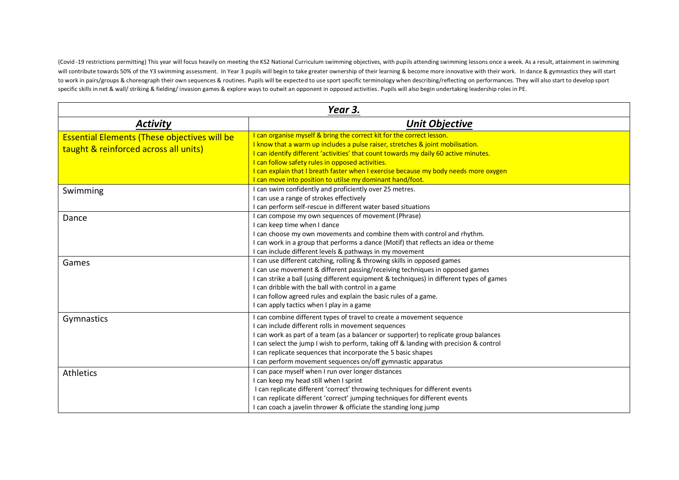(Covid -19 restrictions permitting) This year will focus heavily on meeting the KS2 National Curriculum swimming objectives, with pupils attending swimming lessons once a week. As a result, attainment in swimming will contribute towards 50% of the Y3 swimming assessment. In Year 3 pupils will begin to take greater ownership of their learning & become more innovative with their work. In dance & gymnastics they will start to work in pairs/groups & choreograph their own sequences & routines. Pupils will be expected to use sport specific terminology when describing/reflecting on performances. They will also start to develop sport specific skills in net & wall/ striking & fielding/ invasion games & explore ways to outwit an opponent in opposed activities. Pupils will also begin undertaking leadership roles in PE.

| Year 3.                                                                                      |                                                                                                                                                                                                                                                                                                                                                                                                                                                          |  |  |
|----------------------------------------------------------------------------------------------|----------------------------------------------------------------------------------------------------------------------------------------------------------------------------------------------------------------------------------------------------------------------------------------------------------------------------------------------------------------------------------------------------------------------------------------------------------|--|--|
| <b>Activity</b>                                                                              | <b>Unit Objective</b>                                                                                                                                                                                                                                                                                                                                                                                                                                    |  |  |
| <b>Essential Elements (These objectives will be</b><br>taught & reinforced across all units) | I can organise myself & bring the correct kit for the correct lesson.<br>I know that a warm up includes a pulse raiser, stretches & joint mobilisation.<br>I can identify different 'activities' that count towards my daily 60 active minutes.<br>I can follow safety rules in opposed activities.<br>I can explain that I breath faster when I exercise because my body needs more oxygen<br>I can move into position to utilse my dominant hand/foot. |  |  |
| Swimming                                                                                     | I can swim confidently and proficiently over 25 metres.<br>I can use a range of strokes effectively<br>I can perform self-rescue in different water based situations                                                                                                                                                                                                                                                                                     |  |  |
| Dance                                                                                        | I can compose my own sequences of movement (Phrase)<br>I can keep time when I dance<br>I can choose my own movements and combine them with control and rhythm.<br>I can work in a group that performs a dance (Motif) that reflects an idea or theme<br>I can include different levels & pathways in my movement                                                                                                                                         |  |  |
| Games                                                                                        | I can use different catching, rolling & throwing skills in opposed games<br>I can use movement & different passing/receiving techniques in opposed games<br>I can strike a ball (using different equipment & techniques) in different types of games<br>I can dribble with the ball with control in a game<br>I can follow agreed rules and explain the basic rules of a game.<br>I can apply tactics when I play in a game                              |  |  |
| Gymnastics                                                                                   | I can combine different types of travel to create a movement sequence<br>I can include different rolls in movement sequences<br>I can work as part of a team (as a balancer or supporter) to replicate group balances<br>I can select the jump I wish to perform, taking off & landing with precision & control<br>I can replicate sequences that incorporate the 5 basic shapes<br>I can perform movement sequences on/off gymnastic apparatus          |  |  |
| <b>Athletics</b>                                                                             | I can pace myself when I run over longer distances<br>I can keep my head still when I sprint<br>I can replicate different 'correct' throwing techniques for different events<br>I can replicate different 'correct' jumping techniques for different events<br>I can coach a javelin thrower & officiate the standing long jump                                                                                                                          |  |  |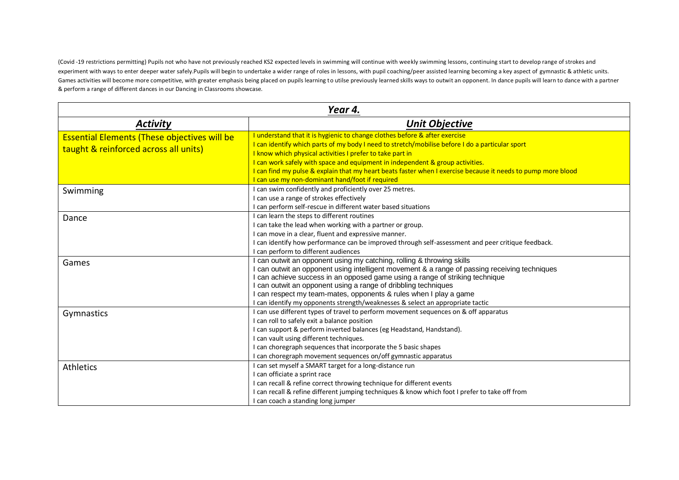(Covid -19 restrictions permitting) Pupils not who have not previously reached KS2 expected levels in swimming will continue with weekly swimming lessons, continuing start to develop range of strokes and experiment with ways to enter deeper water safely.Pupils will begin to undertake a wider range of roles in lessons, with pupil coaching/peer assisted learning becoming a key aspect of gymnastic & athletic units. Games activities will become more competitive, with greater emphasis being placed on pupils learning to utilse previously learned skills ways to outwit an opponent. In dance pupils will learn to dance with a partner & perform a range of different dances in our Dancing in Classrooms showcase.

| Year 4.                                                                                      |                                                                                                                                                                                                                                                                                                                                                                                                                                                                                                |  |  |
|----------------------------------------------------------------------------------------------|------------------------------------------------------------------------------------------------------------------------------------------------------------------------------------------------------------------------------------------------------------------------------------------------------------------------------------------------------------------------------------------------------------------------------------------------------------------------------------------------|--|--|
| <b>Activity</b>                                                                              | <b>Unit Objective</b>                                                                                                                                                                                                                                                                                                                                                                                                                                                                          |  |  |
| <b>Essential Elements (These objectives will be</b><br>taught & reinforced across all units) | I understand that it is hygienic to change clothes before & after exercise<br>I can identify which parts of my body I need to stretch/mobilise before I do a particular sport<br>I know which physical activities I prefer to take part in<br>I can work safely with space and equipment in independent & group activities.<br>I can find my pulse & explain that my heart beats faster when I exercise because it needs to pump more blood<br>I can use my non-dominant hand/foot if required |  |  |
| Swimming                                                                                     | I can swim confidently and proficiently over 25 metres.<br>I can use a range of strokes effectively<br>I can perform self-rescue in different water based situations                                                                                                                                                                                                                                                                                                                           |  |  |
| Dance                                                                                        | I can learn the steps to different routines<br>I can take the lead when working with a partner or group.<br>I can move in a clear, fluent and expressive manner.<br>I can identify how performance can be improved through self-assessment and peer critique feedback.<br>I can perform to different audiences                                                                                                                                                                                 |  |  |
| Games                                                                                        | can outwit an opponent using my catching, rolling & throwing skills<br>I can outwit an opponent using intelligent movement & a range of passing receiving techniques<br>I can achieve success in an opposed game using a range of striking technique<br>I can outwit an opponent using a range of dribbling techniques<br>I can respect my team-mates, opponents & rules when I play a game<br>I can identify my opponents strength/weaknesses & select an appropriate tactic                  |  |  |
| Gymnastics                                                                                   | I can use different types of travel to perform movement sequences on & off apparatus<br>I can roll to safely exit a balance position<br>I can support & perform inverted balances (eg Headstand, Handstand).<br>I can vault using different techniques.<br>I can choregraph sequences that incorporate the 5 basic shapes<br>I can choregraph movement sequences on/off gymnastic apparatus                                                                                                    |  |  |
| <b>Athletics</b>                                                                             | I can set myself a SMART target for a long-distance run<br>I can officiate a sprint race<br>I can recall & refine correct throwing technique for different events<br>I can recall & refine different jumping techniques & know which foot I prefer to take off from<br>I can coach a standing long jumper                                                                                                                                                                                      |  |  |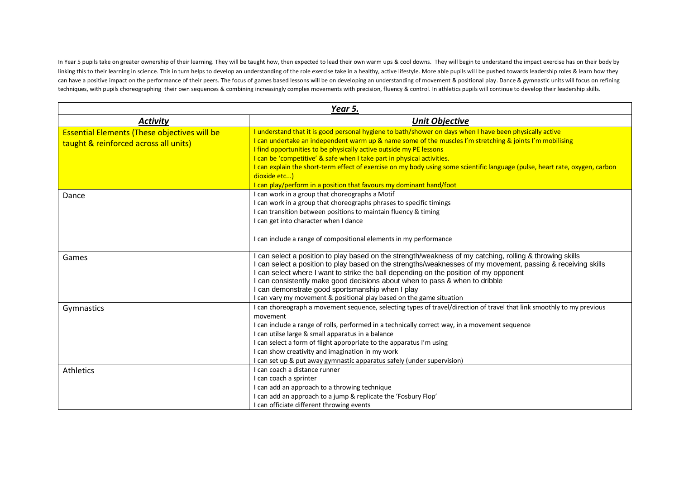In Year 5 pupils take on greater ownership of their learning. They will be taught how, then expected to lead their own warm ups & cool downs. They will begin to understand the impact exercise has on their body by linking this to their learning in science. This in turn helps to develop an understanding of the role exercise take in a healthy, active lifestyle. More able pupils will be pushed towards leadership roles & learn how they can have a positive impact on the performance of their peers. The focus of games based lessons will be on developing an understanding of movement & positional play. Dance & gymnastic units will focus on refining techniques, with pupils choreographing their own sequences & combining increasingly complex movements with precision, fluency & control. In athletics pupils will continue to develop their leadership skills.

| Year 5.                                                                                      |                                                                                                                                                                                                                                                                                                                                                                                                                                                                                                                                                                                            |  |  |
|----------------------------------------------------------------------------------------------|--------------------------------------------------------------------------------------------------------------------------------------------------------------------------------------------------------------------------------------------------------------------------------------------------------------------------------------------------------------------------------------------------------------------------------------------------------------------------------------------------------------------------------------------------------------------------------------------|--|--|
| <b>Activity</b>                                                                              | <b>Unit Objective</b>                                                                                                                                                                                                                                                                                                                                                                                                                                                                                                                                                                      |  |  |
| <b>Essential Elements (These objectives will be</b><br>taught & reinforced across all units) | I understand that it is good personal hygiene to bath/shower on days when I have been physically active<br>I can undertake an independent warm up & name some of the muscles I'm stretching & joints I'm mobilising<br>I find opportunities to be physically active outside my PE lessons<br>I can be 'competitive' & safe when I take part in physical activities.<br>I can explain the short-term effect of exercise on my body using some scientific language (pulse, heart rate, oxygen, carbon<br>dioxide etc)<br>I can play/perform in a position that favours my dominant hand/foot |  |  |
| Dance                                                                                        | I can work in a group that choreographs a Motif<br>I can work in a group that choreographs phrases to specific timings<br>I can transition between positions to maintain fluency & timing<br>I can get into character when I dance<br>I can include a range of compositional elements in my performance                                                                                                                                                                                                                                                                                    |  |  |
| Games                                                                                        | can select a position to play based on the strength/weakness of my catching, rolling & throwing skills<br>can select a position to play based on the strengths/weaknesses of my movement, passing & receiving skills<br>can select where I want to strike the ball depending on the position of my opponent<br>can consistently make good decisions about when to pass & when to dribble<br>can demonstrate good sportsmanship when I play<br>can vary my movement & positional play based on the game situation                                                                           |  |  |
| Gymnastics                                                                                   | I can choreograph a movement sequence, selecting types of travel/direction of travel that link smoothly to my previous<br>movement<br>I can include a range of rolls, performed in a technically correct way, in a movement sequence<br>I can utilse large & small apparatus in a balance<br>I can select a form of flight appropriate to the apparatus I'm using<br>I can show creativity and imagination in my work<br>can set up & put away gymnastic apparatus safely (under supervision)                                                                                              |  |  |
| Athletics                                                                                    | I can coach a distance runner<br>I can coach a sprinter<br>I can add an approach to a throwing technique<br>I can add an approach to a jump & replicate the 'Fosbury Flop'<br>I can officiate different throwing events                                                                                                                                                                                                                                                                                                                                                                    |  |  |